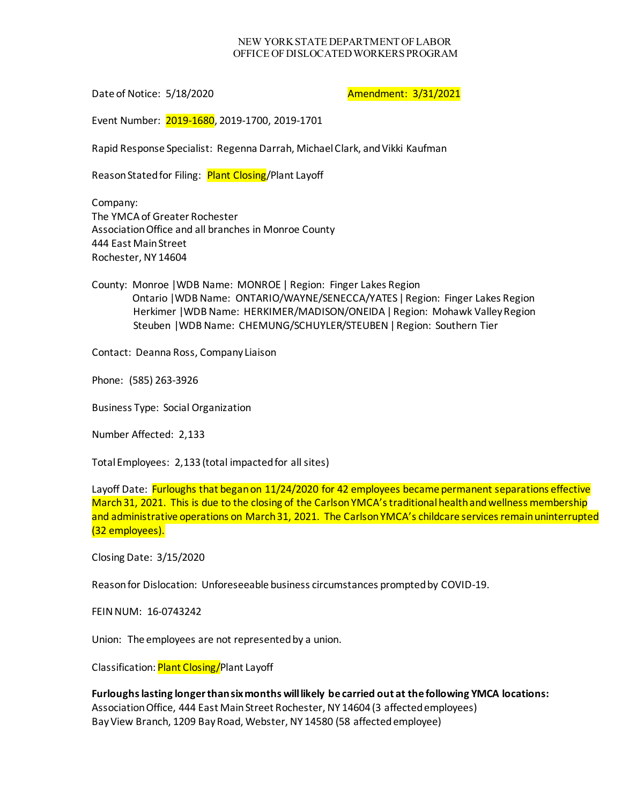## NEW YORK STATE DEPARTMENT OF LABOR OFFICE OF DISLOCATED WORKERS PROGRAM

Date of Notice: 5/18/2020 **Amendment: 3/31/2021** 

Event Number: 2019-1680, 2019-1700, 2019-1701

Rapid Response Specialist: Regenna Darrah, Michael Clark, and Vikki Kaufman

Reason Stated for Filing: Plant Closing/Plant Layoff

Company: The YMCA of Greater Rochester Association Office and all branches in Monroe County 444 East Main Street Rochester, NY 14604

County: Monroe |WDB Name: MONROE | Region: Finger Lakes Region Ontario |WDB Name: ONTARIO/WAYNE/SENECCA/YATES| Region: Finger Lakes Region Herkimer | WDB Name: HERKIMER/MADISON/ONEIDA | Region: Mohawk Valley Region Steuben |WDB Name: CHEMUNG/SCHUYLER/STEUBEN| Region: Southern Tier

Contact: Deanna Ross, Company Liaison

Phone: (585) 263-3926

Business Type: Social Organization

Number Affected: 2,133

Total Employees: 2,133 (total impacted for all sites)

Layoff Date: Furloughs that began on 11/24/2020 for 42 employees became permanent separations effective March 31, 2021. This is due to the closing of the Carlson YMCA's traditional health and wellness membership and administrative operations on March 31, 2021. The Carlson YMCA's childcare services remain uninterrupted (32 employees).

Closing Date: 3/15/2020

Reason for Dislocation: Unforeseeable business circumstances prompted by COVID-19.

FEIN NUM: 16-0743242

Union: The employees are not represented by a union.

Classification: Plant Closing/Plant Layoff

**Furloughs lasting longer than six months will likely be carried out at the following YMCA locations:** Association Office, 444 East Main Street Rochester, NY 14604 (3 affected employees) Bay View Branch, 1209 Bay Road, Webster, NY 14580 (58 affected employee)